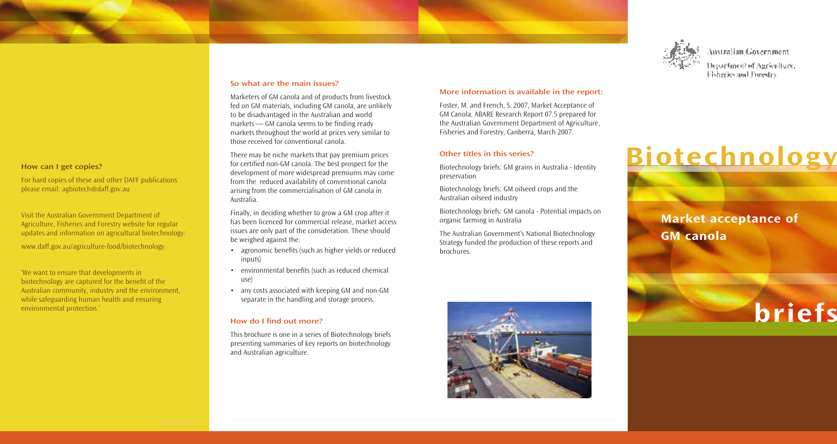

Australian Government

Department of Auriculture, Fisheries and Forestry

# Biotechnology

Market acceptance of GM canola



#### So what are the main issues?

Marketers of GM canola and of products from livestock fed on GM materials, including GM canola, are unlikely to be disadvantaged in the Australian and world markets — GM canola seems to be finding ready markets throughout the world at prices very similar to those received for conventional canola.

There may be niche markets that pay premium prices for certified non-GM canola. The best prospect for the development of more widespread premiums may come from the reduced availability of conventional canola arising from the commercialisation of GM canola in Australia.

Finally, in deciding whether to grow a GM crop after it has been licenced for commercial release, market access issues are only part of the consideration. These should be weighed against the:

- agronomic benefits (such as higher yields or reduced inputs)
- environmental benefits (such as reduced chemical use)
- any costs associated with keeping GM and non-GM separate in the handling and storage process.

#### How do I find out more?

This brochure is one in a series of Biotechnology briefs presenting summaries of key reports on biotechnology and Australian agriculture.

## More information is available in the report:

Foster, M. and French, S. 2007, Market Acceptance of GM Canola, ABARE Research Report 07.5 prepared for the Australian Government Department of Agriculture, Fisheries and Forestry, Canberra, March 2007.

#### Other titles in this series?

Biotechnology briefs: GM grains in Australia - Identity preservation

Biotechnology briefs: GM oilseed crops and the Australian oilseed industry

Biotechnology briefs: GM canola - Potential impacts on organic farming in Australia

The Australian Government's National Biotechnology Strategy funded the production of these reports and brochures.



How can I get copies?

please email: agbiotech@daff.gov.au

For hard copies of these and other DAFF publications

Visit the Australian Government Department of Agriculture, Fisheries and Forestry website for regular updates and information on agricultural biotechnology:

www.daff.gov.au/agriculture-food/biotechnology

'We want to ensure that developments in biotechnology are captured for the benefit of the Australian community, industry and the environment, while safeguarding human health and ensuring

environmental protection.'